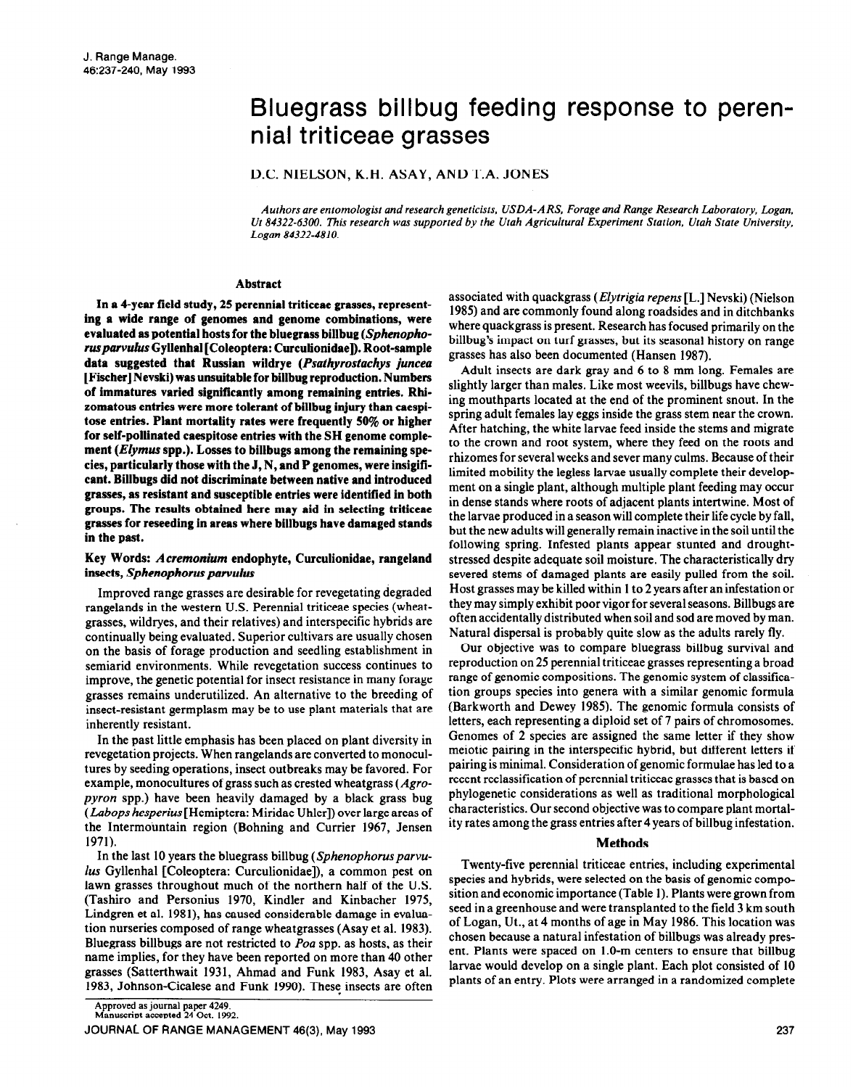# Bluegrass billbug feeding response to perennial triticeae grasses

D.C. NIELSON, K.H. ASAY, AND T.A. JONES

*Authors are entomologist and research geneticists, USDA-ARS, Forage and Range Research Loboratory, Logan, Ut 84322-6300. This research was supported by the Utah Agricultural Experiment Station, Utah State University, Logan 84322-4810.* 

### **Abstract**

**In a 4-year field study, 25 perennial triticeae grasses, representing a wide range of genomes and genome combinations, were**  evaluated as potential hosts for the bluegrass billbug (Sphenopho*ruspurvulus* **Gyllenhal [Coleoptera: Curculionidae]). Root-sample**  data suggested that Russian wildrye (Psathyrostachys juncea **[Fischer] Nevski) was unsuitable for billbug reproduction. Numbers of immatures varied significantly among remaining entries. Rhizomatous entries were more tolerant of billbug injury than caespitose entries. Plant mortality rates were frequently 50% or higher for self-pollinated caespitose entries with the SH genome complement (Elymus spp.). Losses to billbugs among the remaining species, particularly those with the J, N, and P genomes, were insigificant. Billbugs did not discriminate between native and introduced grasses, as resistant and susceptible entries were identified in both groups. The results obtained here may aid in selecting triticeae**  grasses for reseeding **in areas where billbugs have damaged stands in the past.** 

## **Key Words:** *Acremonium* **endophyte, Curculionidae, rangeland insects,** *Sphenophorus patvulus*

Improved range grasses are desirable for revegetating degraded rangelands in the western U.S. Perennial triticeae species (wheatgrasses, wildryes, and their relatives) and interspecific hybrids are continually being evaluated. Superior cultivars are usually chosen on the basis of forage production and seedling establishment in semiarid environments. While revegetation success continues to improve, the genetic potential for insect resistance in many forage grasses remains underutilized. An alternative to the breeding of insect-resistant germplasm may be to use plant materials that are inherently resistant.

In the past little emphasis has been placed on plant diversity in revegetation projects. When rangelands are converted to monocultures by seeding operations, insect outbreaks may be favored. For example, monocultures of grass such as crested wheatgrass (Agro*pyron* spp.) have been heavily damaged by a black grass bug *(Lubops hesperius* [Hemiptera: Miridae Uhler]) over large areas of the Intermountain region (Bohning and Currier 1967, Jensen 1971).

In the last 10 years the bluegrass billbug (Sphenophorus parvu*lus* Gyllenhal [Coleoptera: Curculionidae]), a common pest on lawn grasses throughout much of the northern half of the U.S. (Tashiro and Personius 1970, Kindler and Kinbacher 1975, Lindgren et al. 1981), has caused considerable damage in evaluation nurseries composed of range wheatgrasses (Asay et al. 1983). Bluegrass billbugs are not restricted to *Poa* spp. as hosts, as their name implies, for they have been reported on more than 40 other grasses (Satterthwait 1931, Ahmad and Funk 1983, Asay et al. 1983, Johnson-Cicalese and Funk 1990). These insects are often associated with quackgrass *(EIytrigia repens* [L.] Nevski) (Nielson 1985) and are commonly found along roadsides and in ditchbanks where quackgrass is present. Research has focused primarily on the billbug's impact on turf grasses, but its seasonal history on range grasses has also been documented (Hansen 1987).

Adult insects are dark gray and 6 to 8 mm long. Females are slightly larger than males. Like most weevils, billbugs have chewing mouthparts located at the end of the prominent snout. In the spring adult females lay eggs inside the grass stem near the crown. After hatching, the white larvae feed inside the stems and migrate to the crown and root system, where they feed on the roots and rhizomes for several weeks and sever many culms. Because of their limited mobility the legless larvae usually complete their development on a single plant, although multiple plant feeding may occur in dense stands where roots of adjacent plants intertwine. Most of the larvae produced in a season will complete their life cycle by fall, but the new adults will generally remain inactive in the soil until the following spring. Infested plants appear stunted and droughtstressed despite adequate soil moisture. The characteristically dry severed stems of damaged plants are easily pulled from the soil. Host grasses may be killed within 1 to 2 years after an infestation or they may simply exhibit poor vigor for several seasons. Billbugs are often accidentally distributed when soil and sod are moved by man. Natural dispersal is probably quite slow as the adults rarely fly.

Our objective was to compare bluegrass billbug survival and reproduction on 25 perennial triticeae grasses representing a broad range of genomic compositions. The genomic system of classification groups species into genera with a similar genomic formula (Barkworth and Dewey 1985). The genomic formula consists of letters, each representing a diploid set of 7 pairs of chromosomes. Genomes of 2 species are assigned the same letter if they show meiotic pairing in the interspecific hybrid, but different letters if pairing is minimal. Consideration of genomic formulae has led to a recent reclassification of perennial triticeae grasses that is based on phylogenetic considerations as well as traditional morphological characteristics. Our second objective was to compare plant mortality rates among the grass entries after 4 years of billbug infestation.

### **Methods**

Twenty-five perennial triticeae entries, including experimental species and hybrids, were selected on the basis of genomic composition and economic importance (Table 1). Plants were grown from seed in a greenhouse and were transplanted to the field 3 km south of Logan, Ut., at 4 months of age in May 1986. This location was chosen because a natural infestation of billbugs was already present. Plants were spaced on 1.0-m centers to ensure that billbug larvae would develop on a single plant. Each plot consisted of 10 plants of an entry. Plots were arranged in a randomized complete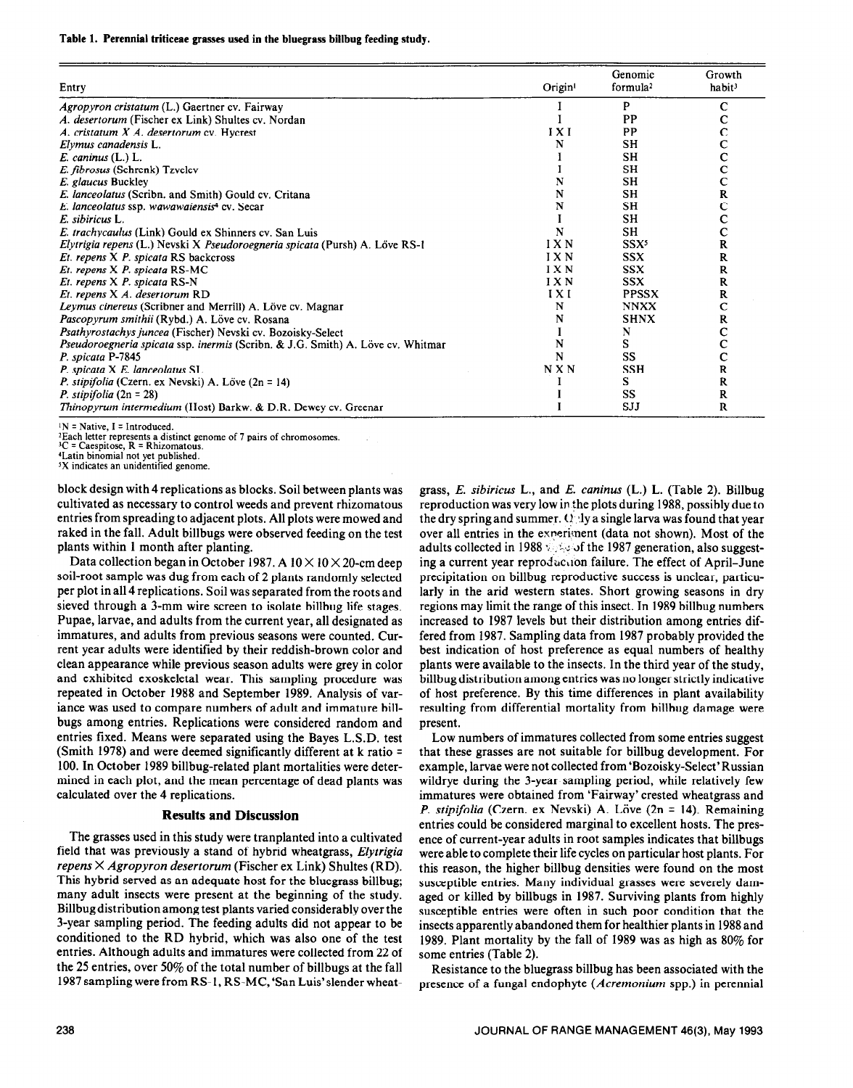#### **Table 1. Perennial triticeae grasses used in the bluegrass billbug feeding study.**

|                                                                                               |                     | Genomic              | Growth             |
|-----------------------------------------------------------------------------------------------|---------------------|----------------------|--------------------|
| Entry                                                                                         | Origin <sup>1</sup> | formula <sup>2</sup> | habit <sup>3</sup> |
| Agropyron cristatum (L.) Gaertner cv. Fairway                                                 |                     | P                    | С                  |
| A. desertorum (Fischer ex Link) Shultes cv. Nordan                                            |                     | PP                   |                    |
| A. cristatum X A. desertorum cv. Hycrest                                                      | IXI                 | PP                   | с                  |
| Elymus canadensis L.                                                                          | N                   | SH                   | Ċ                  |
| E. caninus (L.) L.                                                                            |                     | <b>SH</b>            | c                  |
| E. fibrosus (Schrenk) Tzvelev                                                                 |                     | <b>SH</b>            | C                  |
| E. glaucus Buckley                                                                            | N                   | <b>SH</b>            | $\mathbf C$        |
| E. lanceolatus (Scribn. and Smith) Gould cv. Critana                                          | N                   | SH                   | R                  |
| E. lanceolatus ssp. wawawaiensis <sup>4</sup> cv. Secar                                       | N                   | SH                   | Ċ                  |
| E. sibiricus L.                                                                               |                     | <b>SH</b>            | c                  |
| E. trachycaulus (Link) Gould ex Shinners cv. San Luis                                         | N                   | SH                   | $\mathbf C$        |
| Elytrigia repens (L.) Nevski X Pseudoroegneria spicata (Pursh) A. Löve RS-1                   | IXN                 | SSX <sup>5</sup>     | R                  |
| Et. repens X P. spicata RS backcross                                                          | I X N               | <b>SSX</b>           | R                  |
| Et. repens X P. spicata RS-MC                                                                 | IXN                 | <b>SSX</b>           | R                  |
| Et. repens X P. spicata RS-N                                                                  | IXN                 | <b>SSX</b>           | R                  |
| Et. repens X A. desertorum RD                                                                 | IXI                 | <b>PPSSX</b>         | R                  |
| Leymus cinereus (Scribner and Merrill) A. Löve cv. Magnar                                     | N                   | <b>NNXX</b>          | с                  |
| Pascopyrum smithii (Rybd.) A. Löve cv. Rosana                                                 | N                   | <b>SHNX</b>          | R                  |
| Psathyrostachys juncea (Fischer) Nevski cv. Bozoisky-Select                                   |                     | N                    | c                  |
| <i>Pseudoroegneria spicata</i> ssp. <i>inermis</i> (Scribn. & J.G. Smith) A. Löve cv. Whitmar | N                   | s                    | $\mathbf C$        |
| P. spicata P-7845                                                                             | N                   | SS                   | $\mathbf C$        |
| P. spicata X E. lanceolatus SL                                                                | N X N               | <b>SSH</b>           | R                  |
| <i>P. stipifolia</i> (Czern. ex Nevski) A. Löve $(2n = 14)$                                   |                     | s                    | R                  |
| <i>P. stipifolia</i> $(2n = 28)$                                                              |                     | SS                   | R                  |
| Thinopyrum intermedium (Host) Barkw. & D.R. Dewey cv. Greenar                                 |                     | SJJ                  | R                  |

 $IN = Native, I = Introduced.$ 

<sup>2</sup> Each letter represents a distinct genome of 7 pairs of chromosome<br><sup>3</sup>C = Caespitose, R = Rhizomatous.

"Latin binomial not yet published.

 $5X$  indicates an unidentified genome.

block design with 4 replications as blocks. Soil between plants was cultivated as necessary to control weeds and prevent rhizomatous entries from spreading to adjacent plots. All plots were mowed and raked in the fall. Adult billbugs were observed feeding on the test plants within 1 month after planting.

Data collection began in October 1987. A  $10 \times 10 \times 20$ -cm deep soil-root sample was dug from each of 2 plants randomly selected per plot in all 4 replications. Soil was separated from the roots and sieved through a 3-mm wire screen to isolate billbug life stages. Pupae, larvae, and adults from the current year, all designated as immatures, and adults from previous seasons were counted. Current year adults were identified by their reddish-brown color and clean appearance while previous season adults were grey in color and exhibited exoskeletal wear. This sampling procedure was repeated in October 1988 and September 1989. Analysis of variance was used to compare numbers of adult and immature billbugs among entries. Replications were considered random and entries fixed. Means were separated using the Bayes L.S.D. test (Smith 1978) and were deemed significantly different at k ratio = 100. In October 1989 billbug-related plant mortalities were determined in each plot, and the mean percentage of dead plants was calculated over the 4 replications.

## **Results and Discussion**

The grasses used in this study were tranplanted into a cultivated field that was previously a stand of hybrid wheatgrass, *Elytrigia repens X Agropyron desertorum* (Fischer ex Link) Shultes (RD). This hybrid served as an adequate host for the bluegrass billbug; many adult insects were present at the beginning of the study. Billbugdistribution among test plants varied considerably over the 3-year sampling period. The feeding adults did not appear to be conditioned to the RD hybrid, which was also one of the test entries. Although adults and immatures were collected from 22 of the 25 entries, over 50% of the total number of billbugs at the fall 1987 sampling were from RS-1, RS-MC, 'San Luis'slender wheatgrass, *E. sibiricus* L., and *E. cuninus* (L.) L. (Table 2). Billbug reproduction was very low in The plots during 1988, possibly due to the dry spring and summer.  $Q_1$  ly a single larva was found that year over all entries in the experiment (data not shown). Most of the adults collected in 1988  $\sqrt{3}$ . of the 1987 generation, also suggesting a current year reproduction failure. The effect of April-June precipitation on billbug reproductive success is unclear, particularly in the arid western states. Short growing seasons in dry regions may limit the range of this insect. In 1989 billbug numbers increased to 1987 levels but their distribution among entries differed from 1987. Sampling data from 1987 probably provided the best indication of host preference as equal numbers of healthy plants were available to the insects. In the third year of the study, billbug distribution among entries was no longer strictly indicative of host preference. By this time differences in plant availability resulting from differential mortality from billbug damage were present.

Low numbers of immatures collected from some entries suggest that these grasses are not suitable for billbug development. For example, larvae were not collected from 'Bozoisky-Select' Russian wildrye during the 3-year sampling period, while relatively few immatures were obtained from 'Fairway' crested wheatgrass and *P. stipifolia* (Czern. ex Nevski) A. Löve (2n = 14). Remaining entries could be considered marginal to excellent hosts. The presence of current-year adults in root samples indicates that billbugs were able to complete their life cycles on particular host plants. For this reason, the higher billbug densities were found on the most susceptible entries. Many individual grasses were severely damaged or killed by billbugs in 1987. Surviving plants from highly susceptible entries were often in such poor condition that the insects apparently abandoned them for healthier plants in 1988 and 1989. Plant mortality by the fall of 1989 was as high as 80% for some entries (Table 2).

Resistance to the bluegrass billbug has been associated with the presence of a fungal endophyte *(Acremonium* spp.) in perennial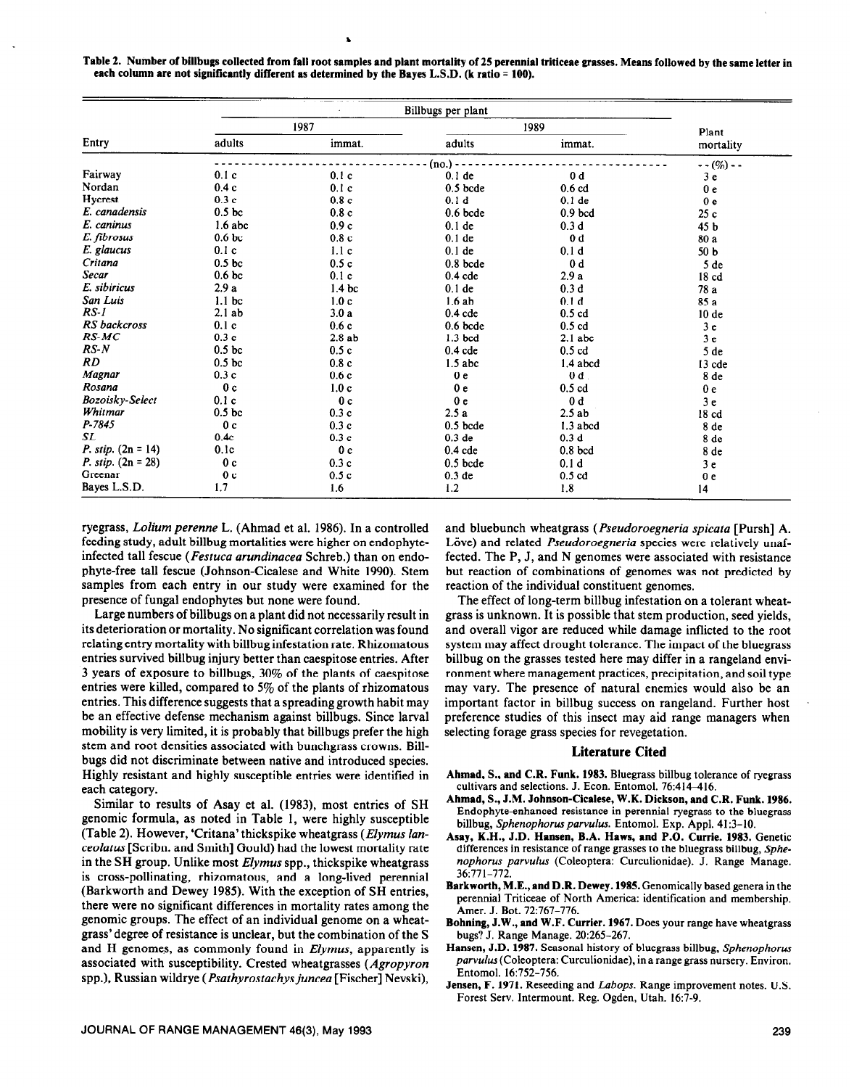Table 2. Number of billbugs collected from fall root samples and plant mortality of 25 perennial triticeae grasses. Means followed by the same letter in each column are not significantly different as determined by the Bayes L.S.D. (k ratio = 100).

|                             | Billbugs per plant |                   |                   |                    |                 |
|-----------------------------|--------------------|-------------------|-------------------|--------------------|-----------------|
| Entry                       | 1987               |                   | 1989              |                    | Plant           |
|                             | adults             | immat.            | adults            | immat.             | mortality       |
|                             |                    |                   | (no.) -           |                    | $--(\%) - -$    |
| Fairway                     | 0.1c               | 0.1c              | $0.1$ de          | 0 <sub>d</sub>     | 3e              |
| $\rm Nordan$                | 0.4c               | 0.1c              | $0.5$ bcde        | $0.6$ cd           | 0 <sub>e</sub>  |
| Hycrest                     | 0.3c               | 0.8c              | 0.1 <sub>d</sub>  | $0.1$ de           | 0 <sub>e</sub>  |
| E. canadensis               | 0.5 <sub>b</sub>   | 0.8c              | $0.6$ bcde        | 0.9 <sub>bcd</sub> | 25c             |
| E. caninus                  | $1.6$ abc          | 0.9c              | $0.1$ de          | 0.3 <sub>d</sub>   | 45 b            |
| E. fibrosus                 | 0.6 <sub>b</sub>   | 0.8c              | $0.1$ de          | 0 <sub>d</sub>     | 80 a            |
| E. glaucus                  | 0.1c               | 1.1c              | $0.1$ de          | 0.1 <sub>d</sub>   | 50 <sub>b</sub> |
| Critana                     | 0.5 <sub>bc</sub>  | 0.5c              | $0.8$ bcde        | 0d                 | 5 <sub>de</sub> |
| <b>Secar</b>                | 0.6 <sub>bc</sub>  | 0.1c              | $0.4$ cde         | 2.9a               | 18 cd           |
| E. sibiricus                | 2.9a               | 1.4 <sub>bc</sub> | $0.1$ de          | 0.3d               | 78 a            |
| San Luis                    | 1.1 <sub>bc</sub>  | 1.0 <sub>c</sub>  | 1.6ab             | 0.1 <sub>d</sub>   | 85 a            |
| $RS-I$                      | 2.1ab              | 3.0a              | $0.4$ cde         | $0.5$ cd           | 10de            |
| RS backcross                | 0.1c               | 0.6c              | $0.6$ bcde        | $0.5$ cd           | 3 <sub>e</sub>  |
| $RS-MC$                     | 0.3c               | 2.8ab             | $1.3$ bcd         | $2.1$ abc          | 3 <sub>e</sub>  |
| $RS-N$                      | 0.5 <sub>bc</sub>  | 0.5c              | $0.4$ cde         | $0.5$ cd           | 5 de            |
| RD.                         | 0.5 <sub>bc</sub>  | 0.8c              | $1.5$ abc         | $1.4$ abcd         | 13 cde          |
| Magnar                      | 0.3c               | 0.6c              | 0 <sub>e</sub>    | $0d$ .             | 8 de            |
| Rosana                      | 0 <sub>c</sub>     | 1.0c              | 0 <sub>e</sub>    | $0.5$ cd           | 0 <sub>e</sub>  |
| Bozoisky-Select             | 0.1c               | 0 <sub>c</sub>    | 0 <sub>e</sub>    | 0 <sub>d</sub>     | 3e              |
| Whitmar                     | 0.5 <sub>bc</sub>  | 0.3c              | 2.5a              | 2.5ab              | 18 cd           |
| P-7845                      | 0 <sub>c</sub>     | 0.3c              | $0.5$ bcde        | 1.3 abcd           | 8 de            |
| SL                          | 0.4c               | 0.3c              | 0.3 <sub>de</sub> | 0.3 <sub>d</sub>   | 8 de            |
| <i>P. stip.</i> $(2n = 14)$ | 0.1c               | 0 <sub>c</sub>    | $0.4$ cde         | $0.8$ bcd          | 8 de            |
| <i>P. stip.</i> $(2n = 28)$ | 0 <sub>c</sub>     | 0.3c              | $0.5$ bcde        | 0.1 <sub>d</sub>   | 3e              |
| Greenar                     | 0 <sub>c</sub>     | 0.5c              | $0.3$ de          | $0.5$ cd           | 0 <sub>e</sub>  |
| Bayes L.S.D.                | 1.7                | 1.6               | 1.2               | 1.8                | 14              |

**ryegrass,** *Lolium perenne* L. **(Ahmad** et al. 1986). In a controlled feeding study, adult billbug mortalities were higher on endophyteinfected tall fescue *(Festuca arundinacea* Schreb.) than on endophyte-free tall fescue (Johnson-Cicalese and White 1990). Stem samples from each entry in our study were examined for the presence of fungal endophytes but none were found.

Large numbers of billbugs on a plant did not necessarily result in its deterioration or mortality. No significant correlation was found relating entry mortality with billbug infestation rate. Rhizomatous entries survived billbug injury better than caespitose entries. After 3 years of exposure to billbugs, 30% of the plants of caespitose entries were killed, compared to 5% of the plants of rhizomatous entries. This difference suggests that a spreading growth habit may be an effective defense mechanism against billbugs. Since larval mobility is very limited, it is probably that billbugs prefer the high stem and root densities associated with bunchgrass crowns. Billbugs did not discriminate between native and introduced species. Highly resistant and highly susceptible entries were identified in each category.

Similar to results of Asay et al. (1983), most entries of SH genomic formula, as noted in Table 1, were highly susceptible (Table 2). However, **'Critana'** thickspike wheatgrass *(Elymus lanceolatus* [Scribn. and Smith] Gould) had the lowest mortality rate in the SH group. Unlike most *Elymus* spp., thickspike wheatgrass is cross-pollinating, rhizomatous, and a long-lived perennial (Barkworth and Dewey 1985). With the exception of SH entries, there were no significant differences in mortality rates among the genomic groups. The effect of an individual genome on a wheatgrass'degree of resistance is unclear, but the combination of the S and H genomes, as commonly found in *Elymus*, apparently is associated with susceptibility. Crested wheatgrasses *(Agropyron*  spp.), Russian wildrye *(Psuthyrostachysjuncea* [Fischer] Nevski),

and bluebunch wheatgrass *(Pseudoroegneria spicata* [Pursh] A. Löve) and related *Pseudoroegneria* species were relatively unaffected. The P, J, and N genomes were associated with resistance but reaction of combinations of genomes was not predicted by reaction of the individual constituent genomes.

The effect of long-term billbug infestation on a tolerant wheatgrass is unknown. It is possible that stem production, seed yields, and overall vigor are reduced while damage inflicted to the root system may affect drought tolerance. The impact of the bluegrass billbug on the grasses tested here may differ in a rangeland environment where management practices, precipitation, and soil type may vary. The presence of natural enemies would also be an important factor in billbug success on rangeland. Further host preference studies of this insect may aid range managers when selecting forage grass species for revegetation.

## **Literature Cited**

- **Ahmad, S., and C.R. Funk. 1983.** Bluegrass billbug tolerance of ryegrass cultivars and selections. J. Econ. Entomol. 76:414-416.
- **Ahmad, S., J.M. Johnson-Cicalese, W.K. Dickson, and C.R. Funk. 1986.**  Endophyte-enhanced resistance in perennial ryegrass to the bluegrass billbug, *Sphenophorusparvulus.* Entomol. Exp. Appl. 41:3-10.
- **Asay,** K.H., **J.D. Hansen, B.A. Haws, and P.O. Currie. 1983.** Genetic differences in resistance of range grasses to the bluegrass billbug, Sphenophorus parvulus (Coleoptera: Curculionidae). J. Range Manage. 36~771-772.
- **Barkworth, M.E., and D.R. Dewey. 1985.** Genomically based genera in the perennial Triticeae of North America: identification and membership. Amer. J. Bot. 72:767-776.
- **Bohning, J.W., and W.F. Currier. 1967.** Does your range have wheatgrass bugs? J. Range Manage. 20:265-267.
- **Hansen, J.D. 1987.** Seasonal history of bluegrass billbug, *Sphenophorus parvulus* (Coleoptera: Curculionidae), in a range grass nursery. Environ. Entomol. 16:752-756.
- **Jensen, F. 1971.** Reseeding and *Labops.* Range improvement notes. U.S. Forest Serv. Intermount. Reg. Ogden, Utah. 16:7-9.